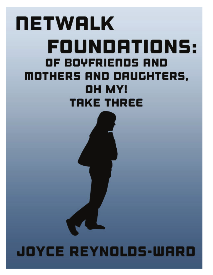# **NETWALK** FOUNDATIONS: OF BOYFRIENDS AND MOTHERS AND DAUGHTERS, OH MY! **TRKE THREE**

# JOYCE REYNOLDS-WARD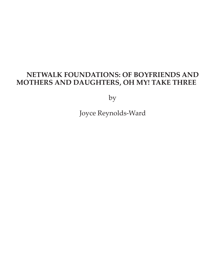# **NETWALK FOUNDATIONS: OF BOYFRIENDS AND MOTHERS AND DAUGHTERS, OH MY! TAKE THREE**

by

Joyce Reynolds-Ward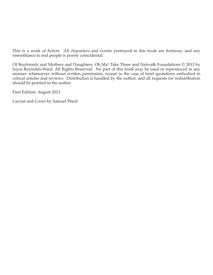This is a work of fiction. All characters and events portrayed in this book are fictitious, and any resemblance to real people is purely coincidental.

Of Boyfriends and Mothers and Daughters, Oh My! Take Three and Netwalk Foundations © 2013 by Joyce Reynolds-Ward. All Rights Reserved. No part of this book may be used or reproduced in any manner whatsoever without written permission, except in the case of brief quotations embodied in critical articles and reviews. Distribution is handled by the author, and all requests for redistribution should be pointed to the author.

First Edition: August 2013

Layout and Cover by Samuel Ward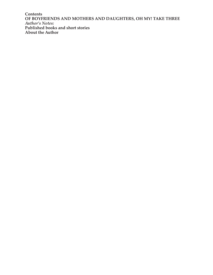**Contents OF BOYFRIENDS AND MOTHERS AND DAUGHTERS, OH MY! TAKE THREE** *Author's Notes:* **Published books and short stories About the Author**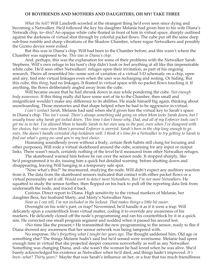#### **OF BOYFRIENDS AND MOTHERS AND DAUGHTERS, OH MY! TAKE THREE**

*What the hell?* Will Landreth scowled at the strangest thing he'd ever seen since dying and becoming a Netwalker. He'd followed the key his daughter Melanie had given him to his wife Diana's Netwalk chip, to--*this*? An opaque white cube floated in front of him in virtual space, sharply outlined against the darkness of virtual shot through by colorful packet flows. The cube put off the same deep sub-bass rumble and sharp vibrations of the Shadow Chamber, where rogue Netwalkers and possibly the Gizmo device were exiled.

But this was in Diana's chip. Will had been to the Chamber before, and this wasn't where the Chamber was supposed to be. *This was in Diana's chip.*

And, perhaps, this was the explanation for some of their problems with the Netwalker Sarah Stephens. Will's own refuge in his host's chip didn't look or feel anything at all like this impenetrable white cube. He'd seen other Netwalkers' refuges upon their invitation, as part of his ongoing research. Theirs all resembled his--some sort of variation of a virtual 3-D schematic on a chip, open and airy, tied into virtual linkages even when the user was recharging and resting. Or hiding. But this cube, this *thing*, had no linkages. It floated in virtual space with no packet flows touching it. If anything, the flows deliberately angled away from the cube.

Will became aware that he had shrunk down in size while pondering the cube. *Not enough body awareness.* If this thing really did have some sort of tie to the Chamber, then small and insignificant wouldn't make any difference to its abilities. He made himself big again, thinking about snowboarding. Those memories and that shape helped when he had to be aggressive in virtual.

*I can't contact Sarah,* Melanie had said when she'd given him the virtual key to Sarah's space in Diana's chip. *This isn't usual. There's always something odd going on when Mom locks Sarah down, but I usually know why Sarah got locked down. This time I don't know why, Dad, and all of my Enforcer tools can't get me in to her. I've allowed Mom to handle Sarah in her own way in the past, even when I've disagreed with her choices, but--now even Mom's personal Enforcer is worried. Sarah's been in the chip long enough to go nuts. She doesn't handle extended chip lockdown well. I think it's time for a Netwalker to try getting to Sarah to find out what's going on--and you're my best choice.*

Humming soundlessly (even without a body, certain flesh habits still clung for focusing and other purposes), Will rode a virtual skateboard around the cube, scanning for any input or output links. There wasn't much, certainly nothing of the level he'd measured from other Netwalker refuges.

The skateboard warned him before he ran over the sensor node. It stopped sharply, like he'd programmed it to do, issuing him a quick but detailed warning before shutting down and disappearing, leaving Will hanging in a temporary safe spot.

"Now what's this?" he murmured, studying the node. Will didn't expect any auditory reaction from it. The data from the skateboard sensors indicated that contact with either packet flows or a virtual personality set it off. *Would work to detect most Netwalkers. But I'm not most Netwalkers.* He squatted to study the sensor further, then flopped on his back to pull off the reporting data link from underneath the node, and traced it back.

Curious. Direct report to Diana. High sensitivity to the virtual markers of Melanie, her daughter Bess, her husband Marty, and Marty's Netwalker Ness.

*Near as I can tell, I'm not included in the lockout. That makes things a little bit easier.*

Oversight on his wife's part, or trap? Nevermind, he'd handle it as if it were a trap. Will delicately spun a counterblock from virtual matter, coding it to override any awareness of his markers. He delicately cloned off the node's programming and ran his counterblock by it in a quick sim. He corrected one small program segment and nodded when it passed his second test.

<No time like the present.> He transmitted the new programming to the sensor, ready to flee if Diana showed any awareness that her sensor network was being tampered with.

No response. *She's forgetting what I taught her years ago.* The thought saddened him. Old age or something else? The things Melanie hadn't said but he'd sensed were worrisome. Melanie had spent enough time in virtual that she projected deeper concerns nonverbally as well as any Netwalker. Something was changing Diana, and--she wasn't the woman he had loved when he was alive. She'd barely acknowledged his existence as Netwalker when he'd died, and things hadn't improved. *It's been--what? Thirty years?* Maybe that was Sarah's influence on her, or a fear that too much friendliness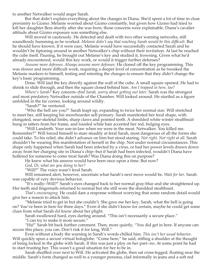to another Netwalker would anger Sarah.

But that didn't explain everything about the changes in Diana. She'd spent a lot of time in close proximity to Gizmo. Melanie worried about Gizmo constantly, but given how Gizmo had tried to kill her daughter Bess shortly after she was born, those concerns were explainable. Diana's cavalier attitude about Gizmo exposure was something else.

Will moved in cautiously. He detected and dealt with two other warning networks, still soundlessly humming as he worked. *Melanie didn't say that reaching Sarah would be this difficult.* But he should have known. If it were easy, Melanie would have successfully contacted Sarah and he wouldn't be tiptoeing around in another Netwalker's chip without their invitation. At last he reached the cube itself. Pausing, he brought out Melanie's key and studied it, frowning. Given what he'd already encountered, would this key work, or would it trigger further defenses?

*Assume more defenses. Always assume more defenses.* He cloned off the key programming. This was slower and more difficult work, requiring a deeper level of concentration as he tweaked the Melanie markers to himself, testing and retesting the changes to ensure that they didn't change the key's basic programming.

Done. Will laid the key directly against the wall of the cube. A small square opened. He had to shrink to slide through, and then the square closed behind him. *Am I trapped in here, too?*

*Where's Sarah?* Key concern--*find Sarah, worry about getting out later*. Sarah was the strongest and most predatory Netwalker outside of the Chamber. Will looked around. He startled as a figure unfolded in the far corner, looking around wildly.

"Sarah?" he ventured.

"Who the hell are you?" Sarah leapt up, expanding to twice her normal size. Will stretched to meet her, still keeping his snowboarder self primary. Sarah manifested her feral shape, with elongated, near-skeletal limbs, sharp claws and pointed teeth. A shredded white winter stealthsuit hung in tatters from her frame, and tousled white hair accented her red, bulging eyes.

"Will Landreth. Your son-in-law when we were in the meat. Netwalker. You killed me. Remember?" Will forced himself to stare steadily at feral Sarah, most dangerous of all the forms she could take. To his relief, she didn't advance on him but stood staring. *Not right. Not right at all.* Sarah shouldn't be wearing this manifestation of herself in the chip. Not under normal circumstances. This shape only happened when Sarah had been infected by a virus, or had her power levels drawn down away from her charging site in Diana's chip--but if Sarah had been infected, wouldn't Diana have hollered for someone to come treat Sarah? Was Diana doing this on purpose?

He knew what his answer would have been once upon a time. But now?

*God, Di, what are you doing to her?*

"Will?" The voice wasn't feral Sarah.

Will remained alert, however, uncertain what Sarah's next move would be. *Wait for her*. Sarah was capable of very devious behavior.

"It's really--Will?" Sarah's eyes changed back to her normal gray-blue and she straightened up. Her teeth and fingernails returned to normal but she still wore the shredded stealthsuit.

*That's encouraging.* He could dare a response without worrying that some random detail would give her a reason to attack him.

"Melanie tried to get in but she couldn't. She gave me her key. Sarah, what the hell is going on? You've been in here for three days." Even if she didn't know for certain, maybe he could get some clues from what Sarah *did* know about her plight.

Sarah swallowed hard, eyes darting around. "This isn't necessarily a secure place."

"I can try to make it more secure."

"Ha!" Sarah bit back further comment. Then, more quietly, "You did get in here. If anyone can secure this place, you can. Don't risk it for long, Will."

Even without a body the warning in Sarah's words chilled him. *This isn't her usual behavior.* Will quickly spun a secure virtual hologlobe. "Come here," he said, stifling a shudder at the thought of being locked in the globe with Sarah. If this was just a ploy on her part--no. At some point he had to start trusting her. This wasn't a good situation for her to be in.

Sarah shuffled over next to Will. He activated the globe, then sat cross-legged, floating near the middle. Sarah's form changed as well to a younger persona, clad informally in jeans and a soft red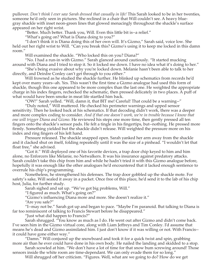pullover. *Don't think I ever saw Sarah dressed that casually in life!* This Sarah looked to be in her twenties, someone he'd only seen in pictures. She reclined in a chair that Will couldn't see. A heavy bluegray shackle with inset neon-green lines that glowed menacingly throughout the shackle's surface appeared on her right wrist.

"Better. Much better. Thank you, Will. Even this little bit is--a relief."

"What's going on? What is Diana doing to you?"

"I don't think it is Diana doing this of her own will. It's Gizmo," Sarah said, voice low. She held out her right wrist to Will. "Can you break this? Gizmo's using it to keep me locked in this damn room."

Will examined the shackle. "Who locked this on you? Diana?"

"No. I had a run-in with Gizmo." Sarah glanced around cautiously. "It started mucking around with Diana and I tried to stop it. So it locked me down. I have no idea what it's doing to her."

"She's being evasive about why you're locked down. Melanie hasn't been able to talk to her directly, and Deirdre Conley can't get through to you either."

Will frowned as he studied the shackle further. He blinked up schematics from records he'd kept over many years--ah. Yes. This wasn't the first time a Gizmo analogue had used this form of shackle, though this one appeared to be more complex than the last one. He weighted the appropriate charge in his index fingers, rechecked the schematic, then pressed delicately in two places. A puff of what would have been smoke in meat life startled him back.

"OW!" Sarah yelled. "Will, damn it, that BIT me! Careful! That could be a warning--"

"Duly noted," Will muttered. He checked his perimeter warnings and upped sensor sensitivity. Then he looked back at his schematics. If that decoding didn't work, there was a deeper and more complex coding to consider. *And if that one doesn't work, we're in trouble because I know that one will trigger Diana and Gizmo.* He reviewed his steps one more time, then gently pressed all ten fingers onto the shackle's sensor pads. He felt a tingle in his fingertips, but--nothing. He pressed more firmly. Something yielded but the shackle didn't release. Will weighted the pressure more on his index and ring fingers of his left hand.

Pressure released. The shackle snapped open. Sarah yanked her arm away from the shackle and it clacked shut on itself, folding repeatedly until it was the size of a pinhead. "I wouldn't let that float free," she advised.

"Got it." Will deployed one of his favorite devices, a trap door chip keyed to him and him alone, no Enforcers like Melanie, no Netwalkers. It was his insurance against predatory attacks. Sarah couldn't take this chip from him and while he hadn't tried it with this Gizmo analogue before, hopefully it was enough like the other analogues he'd encountered that it lacked enough sentience to overrule his chip's programming.

Nonetheless, he strengthened his defenses. The trap door gobbled up the shackle mote. For safety's sake, Will sealed it away in a packet. Once free of this place, he'd send it to the lab of his chip host, Julia, for further study.

Sarah sighed and sat up. "We've got big problems, Will."

"I figured as much. What's going on?"

"Gizmo's influencing Diana more and more. She doesn't realize it."

"Are you safe?"

"I--may not be." Sarah got up and began to pace. "Maybe I'm paranoid. But talking to Diana is far too reminiscent of talking to Francis Stewart before he disappeared."

"Just what did happen to Francis?"

Sarah shrugged. "You know as much as I do. He went out after Gizmo and didn't come back. I've seen him in the Gizmo virtual core, along with Liam Jeffreys and Tim Conley. I'd assume that means he's dead and Gizmo assimilated him. I just don't know if it was willing or not. With Francis- it could have gone either way."

"Damn." Will conjured up the snowboard and took it for a quick twist and spin, grabbing more air than he ever could have done in his own body. He nailed the landing and skidded to a stop.

Sarah scowled at him. "We don't have a lot of time for that snow bum screwing around! Those sensors inside the white room are time-dependant. We can only evade them for so long."

Will shrugged off her criticism. "Figures. Well, what are we going to do? How do we get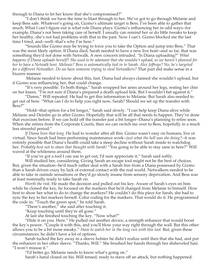through to Diana to let her know that she's compromised?"

"I don't think we have the time to blast through to her. We've got to go through Melanie and keep Bess safe. Whatever's going on, Gizmo's ultimate target is Bess. I've been able to gather that much. What I can't figure out is what role Diana plays. Gizmo's influencing her in odd ways--for example, Diana's not been taking care of herself. I usually can remind her or do little tweaks to keep her healthy, she's not had problems with that in the past. Now I can't. Gizmo blocked me the last time I tried, and--well--that's why I'm here."

"Sounds like Gizmo may be trying to force you to take the Option and jump into Bess." That was the most likely option. If Diana died, Sarah needed to have a new live host--and so far, that was something they'd not done with Netwalk. A new concern intruded. "Is Diana uploading?" *What happens if Diana uploads herself? She used to be adamant that she wouldn't upload, so we haven't planned for her to have a Netwalk host. Melanie? Bess is automatically tied in to Sarah. Alex Jeffreys? No, he's targeted for a different Netwalker. Do we have someone trying to steal Netwalkers?* That part did make sense in a bizarre manner.

 Melanie needed to know about this, fast. Diana had always claimed she wouldn't upload, but if Gizmo was influencing her, that could change.

"It's very possible. To both things." Sarah wrapped her arms around her legs, resting her chin on her knees. "I'm not sure if Diana's prepared a death upload link. But I wouldn't bet against it."

"Damn," Will repeated. He had to get this information to Melanie. But Sarah also needed to get out of here. "What can I do to help you right now, Sarah? Should we set up the transfer with Bess?"

"Hold--that option for a bit longer," Sarah said slowly. "I can help keep Diana alive while Melanie and Deirdre go in after Gizmo. Hopefully that will be all that needs to happen. They've done that exorcism before. If we can hold off the transfer just a bit longer--Diana's planning to retire soon. When she retires from the Corporate Courts, then we can switch me over to Bess, hopefully in a much less stressful period."

*If Diana lives that long.* He had to wonder after all this. Gizmo wasn't easy on humans, live or virtual. Since Sarah had been performing maintenance work--*just what the hell was she doing?*--it was entirely possible that Diana's health could take a steep decline without Sarah inside to watchdog her. *Probably best not to share that thought with Sarah!* "You going to be able to stay sane in here?" Will waved at the whiteness around them.

"If you've got a tool I can use to get out, I'd sure appreciate it," Sarah said softly.

Will studied her, considering. Giving Sarah an escape tool might not be the best of choices. But, given the situation--he'd much rather deal with a Sarah free from a Diana possessed by Gizmo than a Sarah driven crazy by lack of external contact with the real world. Netwalkers needed to be able to take in outside sensations or they'd go slowly insane from sensory deprivation. And Bess was at least nominally ready to take Sarah on.

*Worth the risk.* He made the decision and pulled out his key. Aware of Sarah's eyes on him while he cloned the key, he focused on the markers that he'd changed from Melanie to himself. How best to show her what to do to change the markers? He couldn't do this piece for Sarah, she had to sync the key to her markers herself. Color coding for the markers. That would do it. He programmed the code in. "Touch the green spot," he told Sarah.

"There's another," she said after touching it.

"Keep touching until they're all gone."

At last she finished touching the key. "Now what?"

"Hide it on you. Here." He pulled out another device, a strength enhancer that would boost the key's power. "Couple it with this, and you'll blow your way right through the wall. But this other allows you to be a bit more sneaky." *Have to watch her in the long run with this tool.* But, given these circumstances, he didn't have a lot of options.

Sarah tucked the key away in a sleeve holster he didn't realize until then that she had, and put the enhancer in her other sleeve. "Thanks, Will." She brushed her hands through her disheveled hair. "I won't misuse it."

"I'd better go. Melanie needs to know what's going on."

Sarah's hand closed on his. Will tensed, ready to stave off an attack, but nothing happened.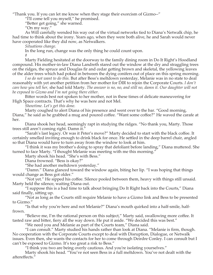"Thank you. If you can let me know when they stage their exorcism of Gizmo--"

"I'll come tell you myself," he promised.

"Better get going," she warned.

"On my way."

As Will carefully wended his way out of the virtual networks tied to Diana's Netwalk chip, he had time to think about the irony. Years ago, when they were both alive, he and Sarah would never have cooperated like they did now, as Netwalkers.

*Situations change.*

In the long run, change was the only thing he could count upon.

#

Marty Fielding hesitated at the doorway to the family dining room in Do It Right's Hoodland compound. His mother-in-law Diana Landreth stared out the window at the dry and straggling trees on the ridges, the spruce and Douglas fir and cedar getting brown and skeletal, the yellowing leaves of the alder trees which had poked in between the dying conifers out of place on this spring morning.

*I so do not want to do this.* But after Bess's meltdown yesterday, Melanie was in no state to deal reasonably with yet another petition from her mother for DIR to rejoin the Corporate Courts. *I don't care how you tell her,* she had told Marty. *The answer is no, no, and still no, damn it. Our daughter will not be exposed to Gizmo and I'm not going there either.*

Bitter words best not spoken to her mother, not in these times of delicate maneuvering for High Space contracts. That's why he was here and not Mel.

*Showtime. Let's get this done.*

Marty coughed to alert Diana of his presence and went over to the bar. "Good morning,

Diana," he said as he grabbed a mug and poured coffee. "Want some coffee?" He waved the carafe at her.

Diana shook her head, seemingly rapt in studying the ridges. "No thank you, Marty. Those trees still aren't coming right. Damn it."

"Sarah's last legacy. Or was it Peter's move?" Marty decided to start with the black coffee. It certainly smelled inviting enough to drink black for once. He settled in the deep barrel chair, angled so that Diana would have to turn away from the window to look at him.

"I think it was my brother's doing to spray that defoliant before landing," Diana muttered. She turned to face Marty. "I thought Melanie was meeting with me this morning."

Marty shook his head. "She's with Bess."

Diana frowned. "Bess is okay?"

"She had another meltdown yesterday."

"Damn." Diana glanced toward the window again, biting her lip. "I was hoping that things would change as Bess got older."

"Not yet." He sipped his coffee. Silence pooled between them, heavy with things still unsaid. Marty held the silence, waiting Diana out.

"I suppose this is a bad time to talk about bringing Do It Right back into the Courts," Diana said finally, sitting up.

"Not as long as the Courts still require Melanie to have a Gizmo link and Bess to be presented to Gizmo."

"Is that why you're here and not Melanie?" Diana's mouth quirked into a half-smile, halffrown.

"Believe me, I'm the rational person on this subject," Marty said, swallowing more coffee. It tasted raw and bitter, fiery all the way down. He put it aside. "We decided this was best."

"We need you and Melanie as part of the Courts team," Diana said.

"I can consult." Marty studied his hands rather than look at Diana. "Melanie is firm, though. No cooperation with the Corporate Courts except to deal with Disruption, Dialogue, or Netwalk issues. Even then, she wants the contacts for her to come through Deirdre Conley. I can consult but I can't be exposed to Gizmo. It's too great a risk to Bess."

"I think you two are being overly cautious. And you're isolating yourselves."

Marty shook his head. "You've not seen Bess in a full meltdown. You've not dealt with the aftereffects."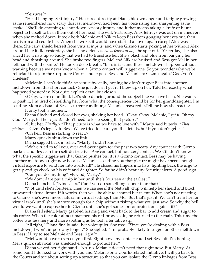"Seizures?"

"Head banging. Self-injury." He stared directly at Diana, his own anger and fatigue growing as he remembered how scary this last meltdown had been, his voice rising and sharpening as he spoke. "She'll do anything to shut down sensory inputs, and if that means taking a knife or blunt object to herself to bash them out of her head, she will. Yesterday, Alex Jeffreys was out on maneuvers when she melted down. It took both Melanie and Nik to keep Bess from gouging her eyes out, then to disarm and sedate her. When she woke, it would have started all over again except Alex was there. She can't shield herself from virtual inputs, and when Gizmo starts poking at her without Alex around like it did yesterday, she has no defenses. *No defenses at all,*" he spat out. "Yesterday, she also sliced her wrists up so badly that we had to transfuse her. She's black and blue from banging her head and thrashing around. She broke two fingers. Mel and Nik are bruised and Bess got Mel in her left hand with the knife." He took a deep breath. "Bess is fast and these meltdowns happen without warning because we never know when a Gizmo contact will trigger one. So you wonder why we're reluctant to rejoin the Corporate Courts and expose Bess and Melanie to Gizmo again? God, you're clueless!"

<Melanie, I can't do this!> he sent subvocally, hoping he didn't trigger Bess into another meltdown from this short contact. <She just doesn't get it! I blew up on her. Told her exactly what happened yesterday. Not quite explicit detail but close.>

<Okay, we're committed. Let's stop dancing around the subject like we have been. She wants to push it, I'm tired of shielding her from what the consequences could be for her granddaughter. I'm sending Mom a visual of Bess's current condition, > Melanie answered. <Tell me how she reacts. >

It only took a moment.

Diana flinched and closed her eyes, shaking her head. "Okay. Okay. Melanie, I *get it*. Oh my God. Marty, tell her *I get it*, I don't need to keep seeing that picture."

<It hit her. *Finally.*> "That picture is what we have to live with," Marty said bitterly. "*That* 

*picture* is Gizmo's legacy to Bess. We've tried to spare you the details, but if you don't get it--"

<Oh hell. Bess is starting to react.>

Marty quickly shut down the link.

Diana sagged back in relief. "Marty, I didn't know--"

"We've tried to tell you, over and over again for the past two years. Any contact with Gizmo packets and Bess can turn self-destructive. *Any* contact, but not *every* contact. We still don't know what the specific triggers are that Gizmo pushes but it is a Gizmo contact. Bess may be having another meltdown right now because Melanie's sending you that picture might have been enough virtual exposure to send her into overload!" He closed his fingers into fists, fighting back the urge to get up and go check on his wife and daughter. So far he didn't hear any Security alerts. A good sign.

"Can you do anything? My God, Marty."

"We don't dare put a chip in her until she's fourteen at the earliest."

Diana blanched. "Nine years? Can't you do something sooner than that?"

"Not until she's fourteen. Then we can see if the Netwalk chip will help her shield and block unwanted virtual input. If it works, then we'll be able to channel her talent. When she's not reacting to Gizmo, she's even more natural in virtual settings than Mel. But that's just it. We can't train her for virtual work until she's mature enough for a chip without risking what you just saw. So why the hell would we want to expose her to Gizmo until she's got some sort of protection against it?"

Diana fell silent. Marty grabbed his mug and went back to the bar to add cream and sugar to his coffee. When the color almost matched his red-brown skin, he returned to the chair. This time the coffee was less fiery and more soothing as he took a tentative sip.

"All right," Diana finally said, her voice quiet. She rose. "Since you're dealing with a Bess meltdown, I won't impose any longer." She sighed. "I'm probably likely to trigger another meltdown in Bess if I try to see Melanie and Bess, right?"

"Mel would have to screen you first. Right now any contact could set Bess off. I'm hoping Mel's quick subvocal was shielded enough to protect her."

Diana waved her right hand. "No, no, Melanie doesn't need that right now. But Marty. At some point I do need to work with you and Melanie on a Courts-related initiative. I will go back to the Courts and see about setting up a structure so that you can isolate the Gizmo linkages from Bess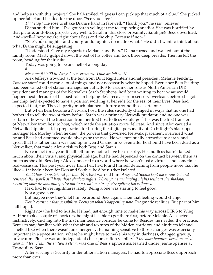and help us with this project." She half-smiled. "I guess I can pick up that much of a clue." She picked up her tablet and headed for the door. "See you later."

*That easy?* He rose to shake Diana's hand in farewell. "Thank you," he said, relieved.

Diana studied him. "I've got Sarah yelling at me to stop being an idiot. She was horrified by that picture, and--Bess projects very well to Sarah in this close proximity. Sarah *feels* Bess's overload. And--well--I hope you're right about Bess and the chip. Because if not--"

"She's our daughter and your granddaughter, no matter what." He didn't want to think about what Diana might be suggesting.

"Understood. Give my regards to Melanie and Bess." Diana turned and walked out of the family room. Marty gulped down the rest of his coffee and took three deep breaths. Then he left the room, heading for their suite.

Today was going to be one hell of a long day.

#

*Meet me @20:00 in Wing A conservatory. Time we talked. M.*

Alex Jeffreys frowned at the text from Do It Right International president Melanie Fielding. *Time we talked* could mean a lot of things, and not necessarily what he hoped. Ever since Bess Fielding had been called off of station management at DIR 3 to assume her role as North American DIR president and manager of the Netwalker Sarah Stephens, he'd been waiting to hear what would happen next. Because of his past role in helping Bess recover from sensory overloads before she got her chip, he'd expected to have a position working at her side for the rest of their lives. Bess had expected that, too. They'd--pretty much planned a future around those certainties.

But when Bess became a Netwalk host, the rules suddenly changed in ways that no one had bothered to tell the two of them before. Sarah was a primary Netwalk predator, and no one was certain of how well the transition from her first host to Bess would go. This was the first transfer of Netwalker from host to host, which made the situation more delicate. And since Alex carried a Netwalk chip himself, in preparation for hosting the digital personality of Do It Right's black ops manager Nik Morley when he died, the powers that governed Netwalk placement overruled what he and Bess had assumed would always be the case. He was potentially attractive to Sarah, and given that his father Liam was tied up in weird Gizmo links even after he should have been dead as a Netwalker, that made Alex a risk to both Bess and Sarah.

No contact for a year. It still felt funny not to have Bess nearby. He and Bess hadn't talked much about their virtual and physical linkage, but he had depended on the contact between them as much as she did. Bess kept Alex connected to a world where he wasn't just a virtual--and sometimes real--assassin. This past year away from her, he'd found himself detaching from people more than he liked--if it hadn't been for Don and Sophie, he'd be further isolated.

*You'll have to watch out for that,* Nik had warned him. *Ange and Sophie kept me connected and centered. But you'll still have those shadow nights. When you start having nights without the shadows haunting your dreams and you're not in a relationship--you're getting too calloused.*

He'd had fewer nightmares lately. Being alone was starting to feel good.

Not a good sign.

But maybe now they'd let him be around Bess again. Then that feeling would change.

*Don't count on that possibility. Focus on what's happening now.* Pragmatic realities. But part of him still hoped.

Right now he had to hustle. He had just enough time to make his way across DIR 3 to Wing A. If he took a couple of shortcuts, he might be able to get there first, before Melanie. Alex acted instinctively, ducking into the first maintenance corridor he came to. Besides, he needed the practice. Better to stay familiar with what the air and textures of the hidden corridors and air ducts felt and smelled like when there wasn't an emergency. Remaining sensitive to those changes was especially important in a space station, where he might have to make his way in darkness, changed gravity, or vacuum. Plus he was an independent check on station viability. *If the maintenance corridors smell clear and test clean, the station's clean,* was one of Bess's aphorisms, learned under Jennie Spenser at Tranquility Base.

After serving as Security under other station managers, he had to appreciate Bess's approach more than ever.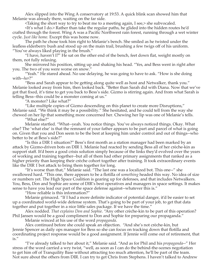Alex slipped into the Wing A conservatory at 19:53. A quick blink scan showed him that Melanie was already there, waiting on the far side.

<Taking the short way to try to beat me to a meeting again, I see,> she subvocaled.

<It's what I do.> Rather than take the regular paths, he glided into the hidden routes he'd crafted through the forest. Wing A was a Pacific Northwest rain forest, running through a wet winter cycle. *Just like home.* Except this was home now.

The path he chose took him right to Melanie's bench. She smiled as he twisted under the leafless elderberry bush and stood up on the main trail, brushing a few twigs off of his uniform. "You've always liked playing in the brush."

"I have, haven't I?" He sat on the other end of the bench, feet down flat, weight mostly on them, not fully relaxing.

She mirrored his position, sitting up and shaking his head. "Yes, and Bess went in right after you. The two of you were worse on snow."

"Yeah." He stared ahead. No use delaying, he was going to have to ask. "How is she doing with--*her*?"

"Bess and Sarah appear to be getting along quite well as host and Netwalker, thank you." Melanie looked away from him, then looked back. "Better than Sarah did with Diana. Now that we've got that fixed, it's time to get you back to Bess's side. Gizmo is stirring again. And from what Sarah is telling Bess--this could be a monster coming at us."

"A monster? Like what?"

"Like multiple copies of Gizmo descending on this planet to create more Disruptions," Melanie said. "We think it may be a possibility." She hesitated, and he could tell from the way she chewed on her lip that something more concerned her. Chewing her lip was one of Melanie's tells.

"What else?"

Melanie startled. "What--yeah. You notice things. You've always noticed things. Okay. What else? The 'what else' is that the remnant of your father appears to be part and parcel of what is going on. Given that you and Don seem to be the best at keeping him under control and out of things--who better to be at Bess's side?"

"Is this a DIR 1 situation?" Bess's first month as a station manager had been marked by an attack by Gizmo-driven bots on DIR 1. Melanie had reacted by sending Bess all of her crèche-kin as support staff. It'd been a good crisis solution simply because of the links they'd evolved over the years of working and training together--but all of them had other primary assignments that ranked as a higher priority than keeping their crèche cohort together after training. It took extraordinary events like the DIR 1 bot attack to bring them together for long.

"It's worse than that," Melanie said. "The last one was a localized bot. This one--" she swallowed hard. "This one, there appears to be a flotilla of *something* headed this way. No idea of size or numbers yet. The High Space Coalition is gearing up for defenses, and that includes Netwalkers. You, Bess, Don and Sophie are some of DIR's best operatives and managers in space settings. It makes sense to have you lead our part of the space defense against--whatever this is."

"How reliable is this information?"

Melanie grimaced. "If I had a more definite indicator of potential danger, it'd be easier to set up a coordinated world-wide defense system. That's going to be part of your job, to get that data together and put together in a nice little sales package. If we have the time."

Alex nodded. *That explains Don and Sophie.* "Any other crèche-kin to be part of this operation? Phil Jansen would be a good compliment to Don and Sophie for preparing our propaganda."

Melanie winced at his use of the word *propaganda*.

Alex continued before she could speak an objection. "And she's not crèche-kin, but Jennie Spencer as daily ops manager for Bess so she can focus on tracking down that flotilla and coordinating project response would be a good assignment. If Jennie will come out of retirement, that is."

"I've already talked to her about it," Melanie said. "And as for Phil and his *propaganda*--" Her stress of the word carried a wry twist, "well, as soon as I can do the behind-the-scenes negotiation to get him off of Tranquility Base without attracting too much attention, he'll be part of the team. Not sure about the others from DIR. I can try to get Chris from Stephens. I haven't talked to Andrew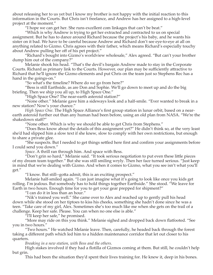about releasing her to us yet but I know my brother is not happy with the initial reaction to this information in the Courts. But Chris isn't freelance, and Andrew has her assigned to a high-level project at the moment."

"I hope we can get her. She runs excellent com linkages that can't be beat."

"Which is why Andrew is trying to get her extracted and contracted to us on special assignment. But he has to dance around Richard because the project's his baby, and he wants his sister on it bad. We have to be careful because Andrew and Richard don't see eye-to-eye at all on anything related to Gizmo. Chris agrees with their father, which means Richard's especially touchy about Andrew pulling her off of his pet project."

"Richard's bought into Gizmo's worldview wholesale," Alex agreed. "But can't your brother dump him out of the company?"

Melanie shook his head. "That's the devil's bargain Andrew made to stay in the Corporate Courts. Richard as primary link to the Courts. However, our plan may be sufficiently attractive to Richard that he'll ignore the Gizmo elements and put Chris on the team just so Stephens Rec has a hand in the goings-on."

"So what's the timeline? Where do we go from here?"

"Bess is still Earthside, as are Don and Sophie. We'll go down to meet up and do the big briefing. Then we ship you all up, to High Space One."

"High Space One? The near-earth asteroid station?"

"None other." Melanie gave him a sideways look and a half-smile. "Ever wanted to break in a new station? Now's your chance."

*High Space One.* The High Space Alliance's first group station in lunar orbit, based on a nearearth asteroid further out than any human had been before, using an old plan from NASA. "We're the shakedown staff?"

"None other. Which is why we should be able to get Chris from Stephens."

"Does Bess know about the details of this assignment yet?" He didn't think so, at the very least she'd had slipped him a slow text if she knew, slow to comply with her own restrictions, but enough to share a private glee.

"She suspects. But I needed to get things settled here first and confirm your assignments before I could send you down."

*Space.* A thrill ran through him. And space with Bess.

"Don't grin so hard," Melanie said. "It took serious negotiation to put even these little pieces of my dream team together." But she was still smiling wryly. Then her face turned serious. "Just keep in mind that we're dealing with Gizmo. And when it comes to Gizmo, what you see isn't what you'll get."

"I know. But still--gotta admit, this is an exciting prospect."

Melanie half-smiled again. "I can just imagine what it's going to look like once you kids get rolling. I'm jealous. But somebody has to hold things together Earthside." She stood. "We leave for Earth in two hours. Enough time for you to get your gear prepped for shipment?"

"I can do it in less than an hour."

"Nik's trained you well." She came over to Alex and reached up to gently pull his head down while she stood on her tiptoes to kiss his cheeks, something she hadn't done since he was a teen. "Take care of my girl, Alex. Sometimes she's too much like me when she gets on the trail of a challenge. Keep her safe. Please. You can when no one else is able."

"I'll keep her safe," he promised.

"More may ride on this you think." Melanie sighed and dropped back down flatfooted. "See you in two hours."

"Two hours." He watched Melanie leave. Then, carefully, he headed back through the forest taking a different path which led him to a hidden maintenance corridor that let out closer to his quarters.

*Breaking in a new station, with Bess and the others.*

High stakes involved if they had a flotilla of Gizmos coming at them. But still, he couldn't help but grin.

This had been the situation they'd spent their lives training for. He knew it, deep in his bones.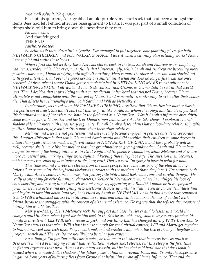#### *And we'll solve it. No question.*

Back at his quarters, Alex grabbed an old purple vinyl stuff sack that had been amongst the items Bess had left behind after her reassignment to Earth. It was just part of a small collection of things she'd told him to bring down the next time they met.

*No more exile.* And that felt good. THE END *Author's Notes:*

*So hello, with these three little vignettes I've managed to put together some planning pieces for both NETWALK'S CHILDREN and NETWALKING SPACE. I love it when a cunning plan actually works! Now I have to plot and write those books.*

*When I first started writing these Netwalk stories back in the 90s, Sarah and Andrew were completely bad news, irredeemable. However, what fun is that? Interestingly, while Sarah and Andrew are becoming more positive characters, Diana is edging into difficult territory. Hers is more the story of someone who started out with good intentions, but over the years her actions shifted until what she does no longer fits what she once believed. At first, when I wrote Diana going completely bad in NETWALKING MARS (what will now be NETWALKING SPACE), I attributed it to outside control (non-Gizmo, as Gizmo didn't exist in that world yet). Then I decided that it was living with a contradiction in her head that twisted Diana, because Diana ultimately is not comfortable with the concept of Netwalk and personalities continuing to exist after their bodies die. That affects her relationships with both Sarah and Will as Netwalkers.*

*Furthermore, as I worked on NETWALKER UPRISING, I realized that Diana, like her mother Sarah, is a politician at heart. She didn't start out that way (unlike Sarah, for whom the rough and tumble of political life dominated most of her existence, both in the flesh and as a Netwalker). Was it Sarah's influence over thirtysome years as joined Netwalker and host, or Diana's own tendencies? As this take shows, I explored Diana's shadow side a bit more with these story segments. But all Sarah's descendants have a love-hate relationship with politics. Some just engage with politics more than their other relatives.*

*Melanie and Bess are not politicians and never really become engaged in politics outside of corporate life. Another difference is that while Diana and Sarah would and did sacrifice their children to some degree to attain their goals, Melanie made a different choice in NETWALKER UPRISING and Bess probably will as well, because she is more like her mother than her grandmother or great-grandmother. Sarah and Diana have a dynastic view of the family influences in Do It Right and Stephens Reclamation, while Melanie and Bess are more concerned with making things work right and keeping those they love safe. The question then becomes, which perspective ends up dominating in the long run? That's a card I'm going to have to palm for now.*

*This time around I wrote the stories from the male perspective. This was part of the plan all along (after all, at some point the boyfriends/beloveds interact with the mothers of those they love!). I've written both Marty's and Alex's voices in past stories, but getting into Will's head took some time and careful thought. He really is one of my favorite fun minor characters, whether in Netwalker form, where he indulges his love of snowboarding and poking fun at himself as a wise sage by appearing as a Buddhist monk; or in his physical form, where he is active and designing new electronic devices up until his death, even as cancer debilitates him and begins to take him down (and yes, he is killed by Sarah in NETWALK). I had to find a voice that remained true to Will's whimsical nature but still could be serious and detailed. He mourns the loss of contact with Diana, because she struggles with the concept of his virtual existence. He regrets that she refuses the prospect of joining him as a Netwalker.*

*Marty is--Marty. He is Melanie's rock, her support and base, her lover and lodestar in a world that changes quickly. Even when I first wrote him back in the 90s he was this way, slow to anger, except when his family is threatened. Like Will, he's a research geek, and one thing that has changed during Will's transition to Netwalker status is that when Will's host is close enough for good virtual contact, Will and Marty get together to brainstorm cool new tech toys. They're both makers and creators, and when the two of them get together on a project…watch out! The results are not likely to be what you expect.*

*Even though I'm familiar with Alex's voice, he told me in this story that he needs Bess as much as Bess needs him. I'd been edging toward that realization in other short stories, but this story is the first time he flat out expresses that need. Alex is a reluctant assassin, but he has that cold hard side that does what is needed when it is needed. The shadow of his father pokes at him on a regular basis, and it's only the experience he gained from years of buffering Bess from Gizmo that helps him throw off Liam's influence. That and the*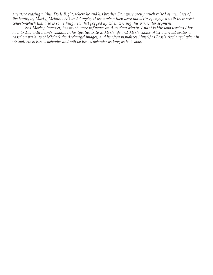*attentive rearing within Do It Right, where he and his brother Don were pretty much raised as members of the family by Marty, Melanie, Nik and Angela, at least when they were not actively engaged with their crèche cohort--which that also is something new that popped up when writing this particular segment.*

*Nik Morley, however, has much more influence on Alex than Marty. And it is Nik who teaches Alex how to deal with Liam's shadow in his life. Security is Alex's life and Alex's choice. Alex's virtual avatar is*  based on variants of Michael the Archangel images, and he often visualizes himself as Bess's Archangel when in *virtual. He is Bess's defender and will be Bess's defender as long as he is able.*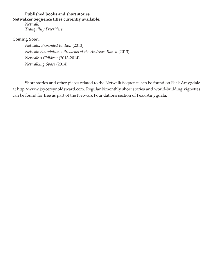## **Published books and short stories Netwalker Sequence titles currently available:**

*Netwalk Tranquility Freeriders*

### **Coming Soon:**

*Netwalk: Expanded Edition* (2013) *Netwalk Foundations: Problems at the Andrews Ranch* (2013) *Netwalk's Children* (2013-2014) *Netwalking Space* (2014)

Short stories and other pieces related to the Netwalk Sequence can be found on Peak Amygdala at http://www.joycereynoldsward.com. Regular bimonthly short stories and world-building vignettes can be found for free as part of the Netwalk Foundations section of Peak Amygdala.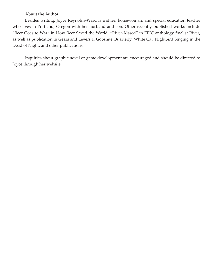### **About the Author**

Besides writing, Joyce Reynolds-Ward is a skier, horsewoman, and special education teacher who lives in Portland, Oregon with her husband and son. Other recently published works include "Beer Goes to War" in How Beer Saved the World, "River-Kissed" in EPIC anthology finalist River, as well as publication in Gears and Levers 1, Gobshite Quarterly, White Cat, Nightbird Singing in the Dead of Night, and other publications.

Inquiries about graphic novel or game development are encouraged and should be directed to Joyce through her website.